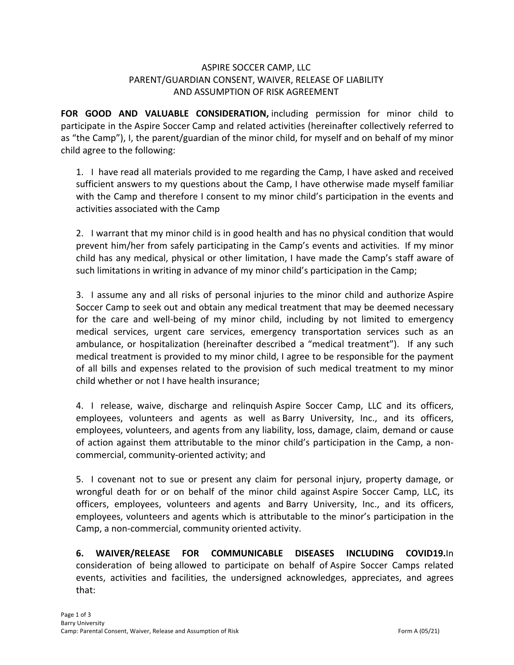## ASPIRE SOCCER CAMP, LLC PARENT/GUARDIAN CONSENT, WAIVER, RELEASE OF LIABILITY AND ASSUMPTION OF RISK AGREEMENT

**FOR GOOD AND VALUABLE CONSIDERATION, including permission for minor child to** participate in the Aspire Soccer Camp and related activities (hereinafter collectively referred to as "the Camp"), I, the parent/guardian of the minor child, for myself and on behalf of my minor child agree to the following:

1. I have read all materials provided to me regarding the Camp, I have asked and received sufficient answers to my questions about the Camp, I have otherwise made myself familiar with the Camp and therefore I consent to my minor child's participation in the events and activities associated with the Camp

2. I warrant that my minor child is in good health and has no physical condition that would prevent him/her from safely participating in the Camp's events and activities. If my minor child has any medical, physical or other limitation, I have made the Camp's staff aware of such limitations in writing in advance of my minor child's participation in the Camp;

3. I assume any and all risks of personal injuries to the minor child and authorize Aspire Soccer Camp to seek out and obtain any medical treatment that may be deemed necessary for the care and well-being of my minor child, including by not limited to emergency medical services, urgent care services, emergency transportation services such as an ambulance, or hospitalization (hereinafter described a "medical treatment"). If any such medical treatment is provided to my minor child, I agree to be responsible for the payment of all bills and expenses related to the provision of such medical treatment to my minor child whether or not I have health insurance;

4. I release, waive, discharge and relinquish Aspire Soccer Camp, LLC and its officers, employees, volunteers and agents as well as Barry University, Inc., and its officers, employees, volunteers, and agents from any liability, loss, damage, claim, demand or cause of action against them attributable to the minor child's participation in the Camp, a noncommercial, community-oriented activity; and

5. I covenant not to sue or present any claim for personal injury, property damage, or wrongful death for or on behalf of the minor child against Aspire Soccer Camp, LLC, its officers, employees, volunteers and agents and Barry University, Inc., and its officers, employees, volunteers and agents which is attributable to the minor's participation in the Camp, a non-commercial, community oriented activity.

**6. WAIVER/RELEASE FOR COMMUNICABLE DISEASES INCLUDING COVID19.**In consideration of being allowed to participate on behalf of Aspire Soccer Camps related events, activities and facilities, the undersigned acknowledges, appreciates, and agrees that: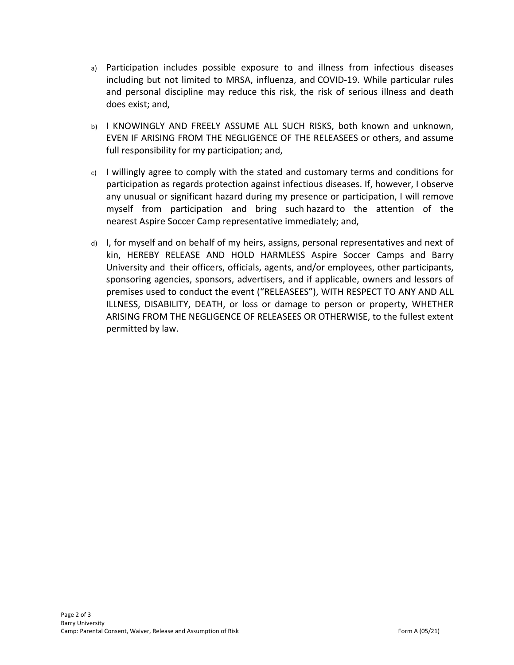- a) Participation includes possible exposure to and illness from infectious diseases including but not limited to MRSA, influenza, and COVID-19. While particular rules and personal discipline may reduce this risk, the risk of serious illness and death does exist; and,
- b) I KNOWINGLY AND FREELY ASSUME ALL SUCH RISKS, both known and unknown, EVEN IF ARISING FROM THE NEGLIGENCE OF THE RELEASEES or others, and assume full responsibility for my participation; and,
- $c)$  I willingly agree to comply with the stated and customary terms and conditions for participation as regards protection against infectious diseases. If, however, I observe any unusual or significant hazard during my presence or participation, I will remove myself from participation and bring such hazard to the attention of the nearest Aspire Soccer Camp representative immediately; and,
- d) I, for myself and on behalf of my heirs, assigns, personal representatives and next of kin, HEREBY RELEASE AND HOLD HARMLESS Aspire Soccer Camps and Barry University and their officers, officials, agents, and/or employees, other participants, sponsoring agencies, sponsors, advertisers, and if applicable, owners and lessors of premises used to conduct the event ("RELEASEES"), WITH RESPECT TO ANY AND ALL ILLNESS, DISABILITY, DEATH, or loss or damage to person or property, WHETHER ARISING FROM THE NEGLIGENCE OF RELEASEES OR OTHERWISE, to the fullest extent permitted by law.